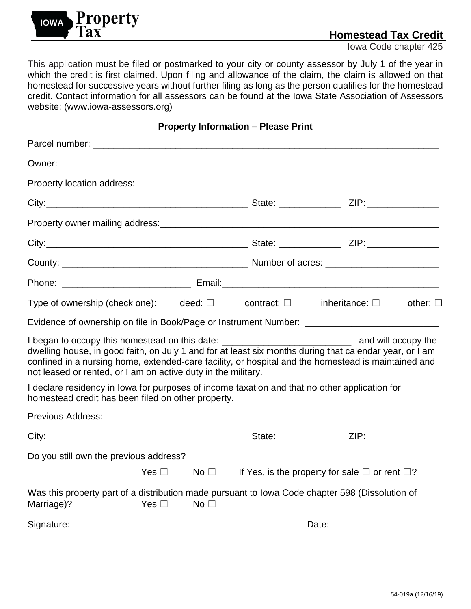

Iowa Code chapter 425

This application must be filed or postmarked to your city or county assessor by July 1 of the year in which the credit is first claimed. Upon filing and allowance of the claim, the claim is allowed on that homestead for successive years without further filing as long as the person qualifies for the homestead credit. Contact information for all assessors can be found at the Iowa State Association of Assessors website: [\(www.iowa-assessors.org\)](http://www.iowa-assessors.org/)

**Property Information – Please Print**

| Type of ownership (check one): deed: $\square$ contract: $\square$ inheritance: $\square$ other: $\square$                                                                                                                                                                                                                                                                               |               |                 |                                                                |  |
|------------------------------------------------------------------------------------------------------------------------------------------------------------------------------------------------------------------------------------------------------------------------------------------------------------------------------------------------------------------------------------------|---------------|-----------------|----------------------------------------------------------------|--|
|                                                                                                                                                                                                                                                                                                                                                                                          |               |                 |                                                                |  |
| I began to occupy this homestead on this date: __________________________________ and will occupy the<br>dwelling house, in good faith, on July 1 and for at least six months during that calendar year, or I am<br>confined in a nursing home, extended-care facility, or hospital and the homestead is maintained and<br>not leased or rented, or I am on active duty in the military. |               |                 |                                                                |  |
| I declare residency in Iowa for purposes of income taxation and that no other application for<br>homestead credit has been filed on other property.                                                                                                                                                                                                                                      |               |                 |                                                                |  |
|                                                                                                                                                                                                                                                                                                                                                                                          |               |                 |                                                                |  |
|                                                                                                                                                                                                                                                                                                                                                                                          |               |                 |                                                                |  |
| Do you still own the previous address?                                                                                                                                                                                                                                                                                                                                                   |               |                 |                                                                |  |
|                                                                                                                                                                                                                                                                                                                                                                                          | Yes $\Box$    | No $\Box$       | If Yes, is the property for sale $\square$ or rent $\square$ ? |  |
| Was this property part of a distribution made pursuant to Iowa Code chapter 598 (Dissolution of<br>Marriage)?                                                                                                                                                                                                                                                                            | Yes $\square$ | No <sub>1</sub> |                                                                |  |
|                                                                                                                                                                                                                                                                                                                                                                                          |               |                 | Date: <u>__________________________________</u>                |  |